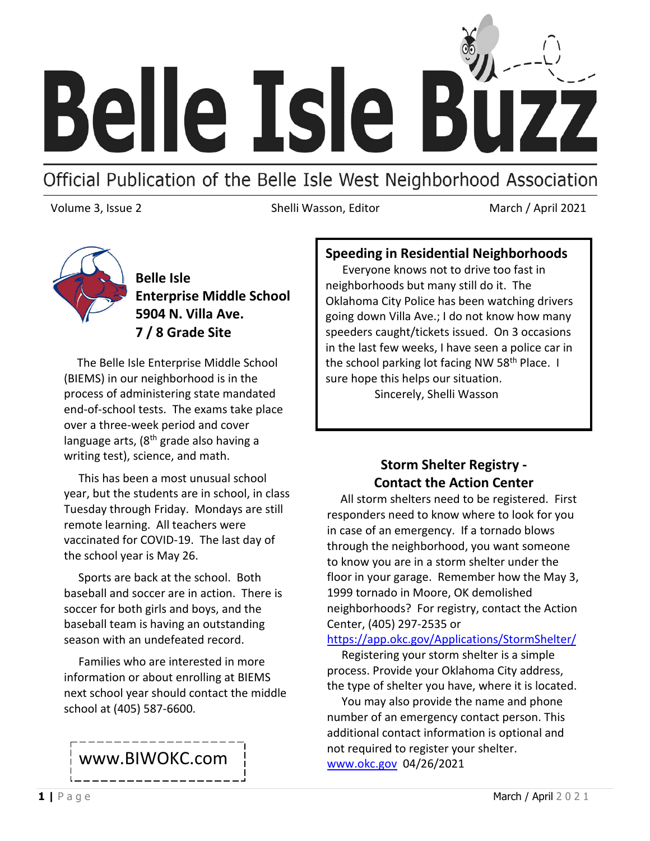

# Official Publication of the Belle Isle West Neighborhood Association

Volume 3, Issue 2 **Shelli Wasson, Editor** March / April 2021



**Belle Isle Enterprise Middle School 5904 N. Villa Ave. 7 / 8 Grade Site**

 The Belle Isle Enterprise Middle School (BIEMS) in our neighborhood is in the process of administering state mandated end-of-school tests. The exams take place over a three-week period and cover language arts,  $(8<sup>th</sup>$  grade also having a writing test), science, and math.

 This has been a most unusual school year, but the students are in school, in class Tuesday through Friday. Mondays are still remote learning. All teachers were vaccinated for COVID-19. The last day of the school year is May 26.

 Sports are back at the school. Both baseball and soccer are in action. There is soccer for both girls and boys, and the baseball team is having an outstanding season with an undefeated record.

 Families who are interested in more information or about enrolling at BIEMS next school year should contact the middle school at (405) 587-6600.

## www.BIWOKC.com

#### **Speeding in Residential Neighborhoods**

 Everyone knows not to drive too fast in neighborhoods but many still do it. The Oklahoma City Police has been watching drivers going down Villa Ave.; I do not know how many speeders caught/tickets issued. On 3 occasions in the last few weeks, I have seen a police car in the school parking lot facing NW 58<sup>th</sup> Place. I sure hope this helps our situation.

Sincerely, Shelli Wasson

### **Storm Shelter Registry - Contact the Action Center**

 All storm shelters need to be registered. First responders need to know where to look for you in case of an emergency. If a tornado blows through the neighborhood, you want someone to know you are in a storm shelter under the floor in your garage. Remember how the May 3, 1999 tornado in Moore, OK demolished neighborhoods? For registry, contact the Action Center, (405) 297-2535 or

<https://app.okc.gov/Applications/StormShelter/>

 Registering your storm shelter is a simple process. Provide your Oklahoma City address, the type of shelter you have, where it is located.

 You may also provide the name and phone number of an emergency contact person. This additional contact information is optional and not required to register your shelter. [www.okc.gov](http://www.okc.gov/) 04/26/2021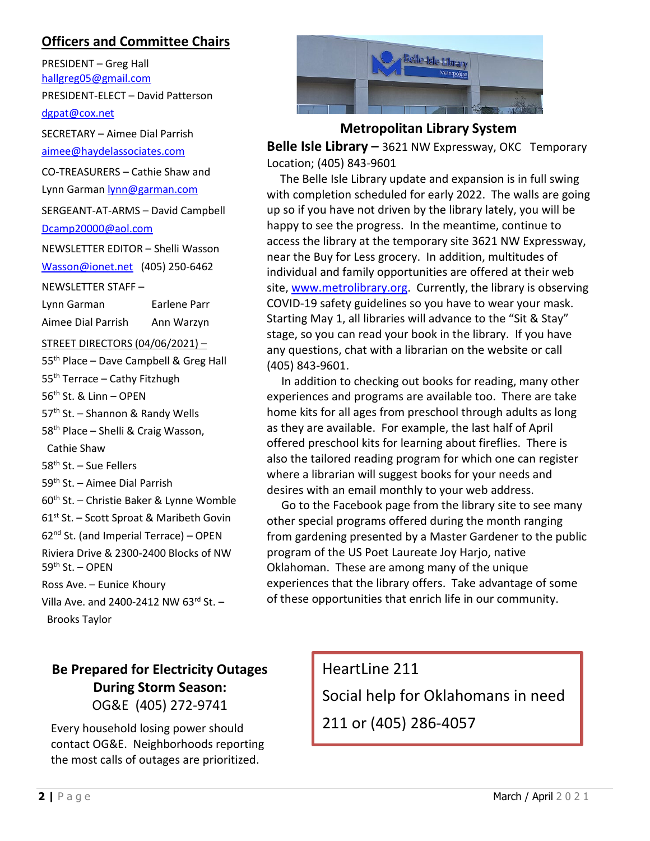#### **Officers and Committee Chairs**

PRESIDENT – Greg Hall [hallgreg05@gmail.com](mailto:hallgreg05@gmail.com) PRESIDENT-ELECT – David Patterson [dgpat@cox.net](mailto:dgpat@cox.net) SECRETARY – Aimee Dial Parrish [aimee@haydelassociates.com](mailto:aimee@haydelassociates.com) CO-TREASURERS – Cathie Shaw and Lynn Garman [lynn@garman.com](mailto:lynn@garman.com) SERGEANT-AT-ARMS – David Campbell [Dcamp20000@aol.com](mailto:Dcamp20000@aol.com) NEWSLETTER EDITOR – Shelli Wasson [Wasson@ionet.net](mailto:Wasson@ionet.net) (405) 250-6462 NEWSLETTER STAFF – Lynn Garman Earlene Parr Aimee Dial Parrish Ann Warzyn STREET DIRECTORS (04/06/2021) – 55<sup>th</sup> Place – Dave Campbell & Greg Hall 55<sup>th</sup> Terrace – Cathy Fitzhugh 56th St. & Linn – OPEN 57<sup>th</sup> St. – Shannon & Randy Wells 58<sup>th</sup> Place – Shelli & Craig Wasson, Cathie Shaw 58<sup>th</sup> St. - Sue Fellers 59<sup>th</sup> St. – Aimee Dial Parrish 60<sup>th</sup> St. – Christie Baker & Lynne Womble  $61<sup>st</sup>$  St. – Scott Sproat & Maribeth Govin  $62<sup>nd</sup>$  St. (and Imperial Terrace) – OPEN Riviera Drive & 2300-2400 Blocks of NW 59th St. – OPEN Ross Ave. – Eunice Khoury Villa Ave. and 2400-2412 NW  $63^{\text{rd}}$  St. -Brooks Taylor



#### **Metropolitan Library System**

**Belle Isle Library –** 3621 NW Expressway, OKC Temporary Location; (405) 843-9601

 The Belle Isle Library update and expansion is in full swing with completion scheduled for early 2022. The walls are going up so if you have not driven by the library lately, you will be happy to see the progress. In the meantime, continue to access the library at the temporary site 3621 NW Expressway, near the Buy for Less grocery. In addition, multitudes of individual and family opportunities are offered at their web site, [www.metrolibrary.org.](http://www.metrolibrary.org/) Currently, the library is observing COVID-19 safety guidelines so you have to wear your mask. Starting May 1, all libraries will advance to the "Sit & Stay" stage, so you can read your book in the library. If you have any questions, chat with a librarian on the website or call (405) 843-9601.

 In addition to checking out books for reading, many other experiences and programs are available too. There are take home kits for all ages from preschool through adults as long as they are available. For example, the last half of April offered preschool kits for learning about fireflies. There is also the tailored reading program for which one can register where a librarian will suggest books for your needs and desires with an email monthly to your web address.

 Go to the Facebook page from the library site to see many other special programs offered during the month ranging from gardening presented by a Master Gardener to the public program of the US Poet Laureate Joy Harjo, native Oklahoman. These are among many of the unique experiences that the library offers. Take advantage of some of these opportunities that enrich life in our community.

## **Be Prepared for Electricity Outages During Storm Season:** OG&E (405) 272-9741

Every household losing power should contact OG&E. Neighborhoods reporting the most calls of outages are prioritized.

HeartLine 211 Social help for Oklahomans in need 211 or (405) 286-4057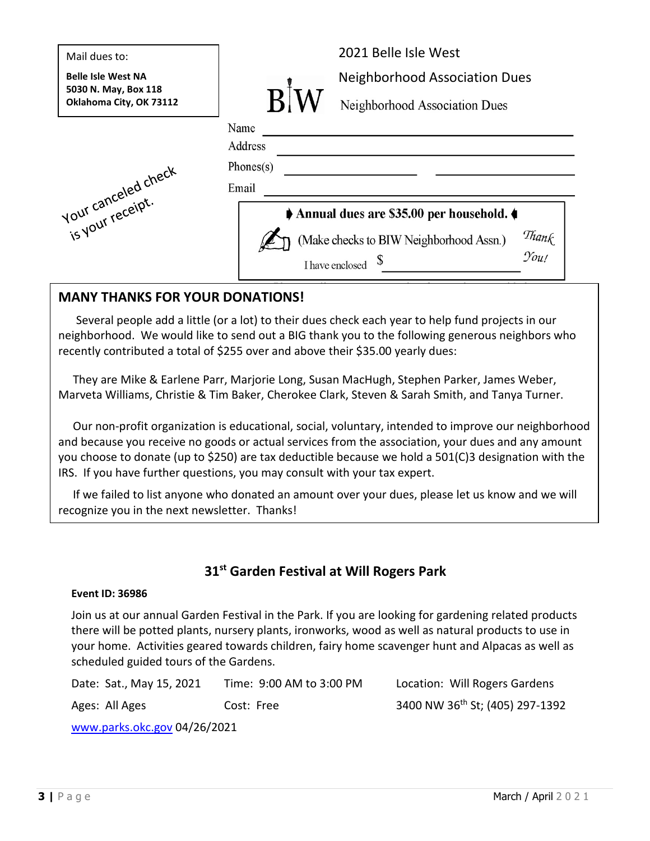| Mail dues to:                                     | 2021 Belle Isle West                                     |
|---------------------------------------------------|----------------------------------------------------------|
| <b>Belle Isle West NA</b><br>5030 N. May, Box 118 | <b>Neighborhood Association Dues</b>                     |
| Oklahoma City, OK 73112                           | Neighborhood Association Dues                            |
|                                                   | Name                                                     |
|                                                   | Address                                                  |
|                                                   | Phones(s)                                                |
|                                                   | Email                                                    |
| is your receipt.                                  | Annual dues are \$35.00 per household.                   |
|                                                   | Thank<br>You!<br>(Make checks to BIW Neighborhood Assn.) |
|                                                   | I have enclosed                                          |

#### **MANY THANKS FOR YOUR DONATIONS!**

 Several people add a little (or a lot) to their dues check each year to help fund projects in our neighborhood. We would like to send out a BIG thank you to the following generous neighbors who recently contributed a total of \$255 over and above their \$35.00 yearly dues:

 They are Mike & Earlene Parr, Marjorie Long, Susan MacHugh, Stephen Parker, James Weber, Marveta Williams, Christie & Tim Baker, Cherokee Clark, Steven & Sarah Smith, and Tanya Turner.

 Our non-profit organization is educational, social, voluntary, intended to improve our neighborhood and because you receive no goods or actual services from the association, your dues and any amount you choose to donate (up to \$250) are tax deductible because we hold a 501(C)3 designation with the IRS. If you have further questions, you may consult with your tax expert.

 If we failed to list anyone who donated an amount over your dues, please let us know and we will recognize you in the next newsletter. Thanks!

### **31st Garden Festival at Will Rogers Park**

#### **Event ID: 36986**

Join us at our annual Garden Festival in the Park. If you are looking for gardening related products there will be potted plants, nursery plants, ironworks, wood as well as natural products to use in your home. Activities geared towards children, fairy home scavenger hunt and Alpacas as well as scheduled guided tours of the Gardens.

Date: Sat., May 15, 2021 Time: 9:00 AM to 3:00 PM Location: Will Rogers Gardens Ages: All Ages Cost: Free 3400 NW 36<sup>th</sup> St; (405) 297-1392

[www.parks.okc.gov](http://www.parks.okc.gov/) 04/26/2021